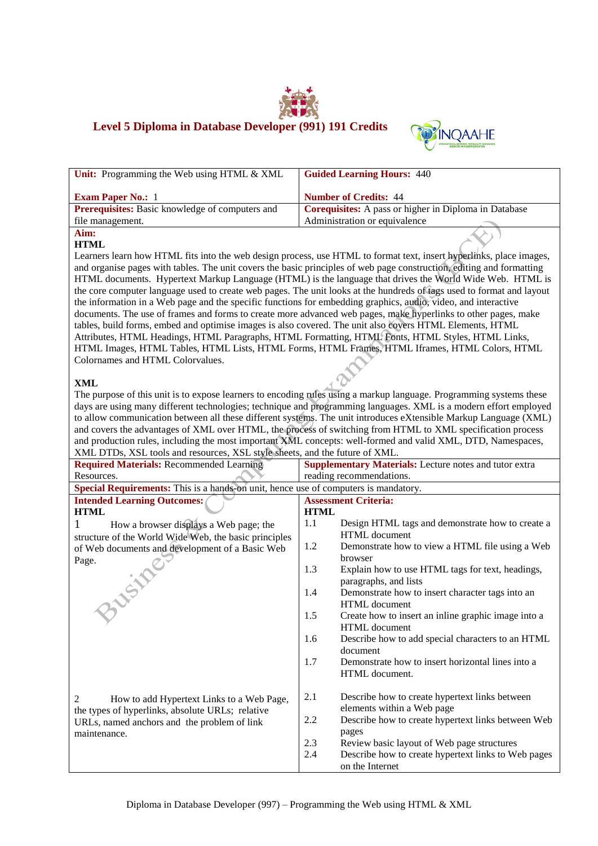## **Level 5 Diploma in Database Developer (991) 191 Credits**



| Unit: Programming the Web using HTML & XML             | <b>Guided Learning Hours: 440</b>                            |
|--------------------------------------------------------|--------------------------------------------------------------|
|                                                        |                                                              |
|                                                        |                                                              |
|                                                        |                                                              |
| <b>Exam Paper No.: 1</b>                               | <b>Number of Credits: 44</b>                                 |
|                                                        |                                                              |
| <b>Prerequisites:</b> Basic knowledge of computers and | <b>Corequisites:</b> A pass or higher in Diploma in Database |
|                                                        |                                                              |
| file management.                                       | Administration or equivalence                                |
|                                                        |                                                              |
| .                                                      |                                                              |

## **Aim: HTML**

Learners learn how HTML fits into the web design process, use HTML to format text, insert hyperlinks, place images, and organise pages with tables. The unit covers the basic principles of web page construction, editing and formatting HTML documents. Hypertext Markup Language (HTML) is the language that drives the World Wide Web. HTML is the core computer language used to create web pages. The unit looks at the hundreds of tags used to format and layout the information in a Web page and the specific functions for embedding graphics, audio, video, and interactive documents. The use of frames and forms to create more advanced web pages, make hyperlinks to other pages, make tables, build forms, embed and optimise images is also covered. The unit also covers HTML Elements, HTML Attributes, HTML Headings, HTML Paragraphs, HTML Formatting, HTML Fonts, HTML Styles, HTML Links, HTML Images, HTML Tables, HTML Lists, HTML Forms, HTML Frames, HTML Iframes, HTML Colors, HTML Colornames and HTML Colorvalues.

## **XML**

The purpose of this unit is to expose learners to encoding rules using a markup language. Programming systems these days are using many different technologies; technique and programming languages. XML is a modern effort employed to allow communication between all these different systems. The unit introduces eXtensible Markup Language (XML) and covers the advantages of XML over HTML, the process of switching from HTML to XML specification process and production rules, including the most important XML concepts: well-formed and valid XML, DTD, Namespaces, XML DTDs, XSL tools and resources, XSL style sheets, and the future of XML.

| <b>Required Materials: Recommended Learning</b>                                     | <b>Supplementary Materials:</b> Lecture notes and tutor extra                    |  |  |
|-------------------------------------------------------------------------------------|----------------------------------------------------------------------------------|--|--|
| Resources.                                                                          | reading recommendations.                                                         |  |  |
| Special Requirements: This is a hands-on unit, hence use of computers is mandatory. |                                                                                  |  |  |
| <b>Intended Learning Outcomes:</b>                                                  | <b>Assessment Criteria:</b>                                                      |  |  |
| <b>HTML</b>                                                                         | <b>HTML</b>                                                                      |  |  |
| How a browser displays a Web page; the                                              | 1.1<br>Design HTML tags and demonstrate how to create a                          |  |  |
| structure of the World Wide Web, the basic principles                               | HTML document                                                                    |  |  |
| of Web documents and development of a Basic Web                                     | 1.2<br>Demonstrate how to view a HTML file using a Web                           |  |  |
| Page.                                                                               | browser                                                                          |  |  |
| 3 lister                                                                            | 1.3<br>Explain how to use HTML tags for text, headings,<br>paragraphs, and lists |  |  |
|                                                                                     | 1.4<br>Demonstrate how to insert character tags into an                          |  |  |
|                                                                                     | HTML document                                                                    |  |  |
|                                                                                     | 1.5<br>Create how to insert an inline graphic image into a<br>HTML document      |  |  |
|                                                                                     | 1.6<br>Describe how to add special characters to an HTML<br>document             |  |  |
|                                                                                     | 1.7<br>Demonstrate how to insert horizontal lines into a<br>HTML document.       |  |  |
|                                                                                     |                                                                                  |  |  |
| How to add Hypertext Links to a Web Page,<br>$\mathfrak{D}$                         | 2.1<br>Describe how to create hypertext links between                            |  |  |
| the types of hyperlinks, absolute URLs; relative                                    | elements within a Web page                                                       |  |  |
| URLs, named anchors and the problem of link<br>maintenance.                         | 2.2<br>Describe how to create hypertext links between Web<br>pages               |  |  |
|                                                                                     | 2.3<br>Review basic layout of Web page structures                                |  |  |
|                                                                                     | 2.4<br>Describe how to create hypertext links to Web pages<br>on the Internet    |  |  |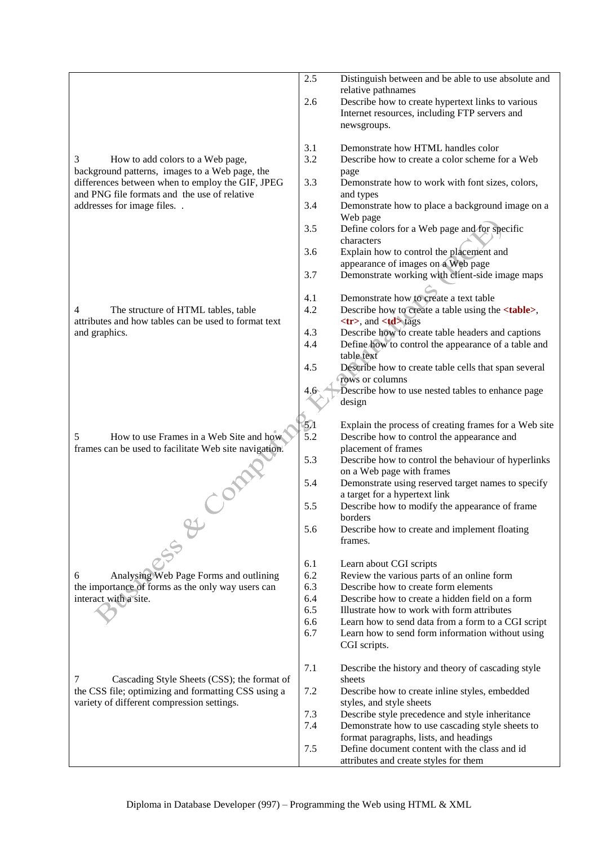|                                                                                                  | 2.5           | Distinguish between and be able to use absolute and                                     |
|--------------------------------------------------------------------------------------------------|---------------|-----------------------------------------------------------------------------------------|
|                                                                                                  |               | relative pathnames                                                                      |
|                                                                                                  | 2.6           | Describe how to create hypertext links to various                                       |
|                                                                                                  |               | Internet resources, including FTP servers and                                           |
|                                                                                                  |               | newsgroups.                                                                             |
|                                                                                                  | 3.1           | Demonstrate how HTML handles color                                                      |
| 3<br>How to add colors to a Web page,                                                            | 3.2           | Describe how to create a color scheme for a Web                                         |
| background patterns, images to a Web page, the                                                   |               | page                                                                                    |
| differences between when to employ the GIF, JPEG<br>and PNG file formats and the use of relative | 3.3           | Demonstrate how to work with font sizes, colors,<br>and types                           |
| addresses for image files                                                                        | 3.4           | Demonstrate how to place a background image on a<br>Web page                            |
|                                                                                                  | 3.5           | Define colors for a Web page and for specific                                           |
|                                                                                                  | 3.6           | characters<br>Explain how to control the placement and                                  |
|                                                                                                  |               | appearance of images on a Web page                                                      |
|                                                                                                  | 3.7           | Demonstrate working with client-side image maps                                         |
|                                                                                                  |               |                                                                                         |
|                                                                                                  | 4.1           | Demonstrate how to create a text table                                                  |
| 4<br>The structure of HTML tables, table                                                         | 4.2           | Describe how to create a table using the <table>,</table>                               |
| attributes and how tables can be used to format text                                             |               | $<$ tr>, and $<$ td> tags                                                               |
| and graphics.                                                                                    | 4.3           | Describe how to create table headers and captions                                       |
|                                                                                                  | 4.4           | Define how to control the appearance of a table and<br>table text                       |
|                                                                                                  | 4.5           | Describe how to create table cells that span several                                    |
|                                                                                                  |               | rows or columns                                                                         |
|                                                                                                  | $4.6^{\circ}$ | Describe how to use nested tables to enhance page<br>design                             |
|                                                                                                  |               |                                                                                         |
|                                                                                                  | $5\lambda$    | Explain the process of creating frames for a Web site                                   |
| 5<br>How to use Frames in a Web Site and how                                                     | 5.2           | Describe how to control the appearance and                                              |
| frames can be used to facilitate Web site navigation.                                            |               | placement of frames                                                                     |
|                                                                                                  | 5.3           | Describe how to control the behaviour of hyperlinks                                     |
|                                                                                                  |               | on a Web page with frames                                                               |
|                                                                                                  | 5.4<br>5.5    | Demonstrate using reserved target names to specify                                      |
| Class                                                                                            |               | a target for a hypertext link                                                           |
|                                                                                                  |               | Describe how to modify the appearance of frame                                          |
|                                                                                                  | 5.6           | borders<br>Describe how to create and implement floating                                |
|                                                                                                  |               | frames.                                                                                 |
|                                                                                                  |               |                                                                                         |
|                                                                                                  | 6.1           | Learn about CGI scripts                                                                 |
| Analysing Web Page Forms and outlining<br>6<br>the importance of forms as the only way users can | 6.2<br>6.3    | Review the various parts of an online form<br>Describe how to create form elements      |
| interact with a site.                                                                            | 6.4           | Describe how to create a hidden field on a form                                         |
|                                                                                                  | 6.5           | Illustrate how to work with form attributes                                             |
|                                                                                                  | 6.6           | Learn how to send data from a form to a CGI script                                      |
|                                                                                                  | 6.7           | Learn how to send form information without using                                        |
|                                                                                                  |               | CGI scripts.                                                                            |
|                                                                                                  | 7.1           | Describe the history and theory of cascading style                                      |
| 7<br>Cascading Style Sheets (CSS); the format of                                                 |               | sheets                                                                                  |
| the CSS file; optimizing and formatting CSS using a                                              | 7.2           | Describe how to create inline styles, embedded                                          |
| variety of different compression settings.                                                       |               | styles, and style sheets                                                                |
|                                                                                                  | 7.3           | Describe style precedence and style inheritance                                         |
|                                                                                                  | 7.4           | Demonstrate how to use cascading style sheets to                                        |
|                                                                                                  | 7.5           | format paragraphs, lists, and headings<br>Define document content with the class and id |
|                                                                                                  |               | attributes and create styles for them                                                   |
|                                                                                                  |               |                                                                                         |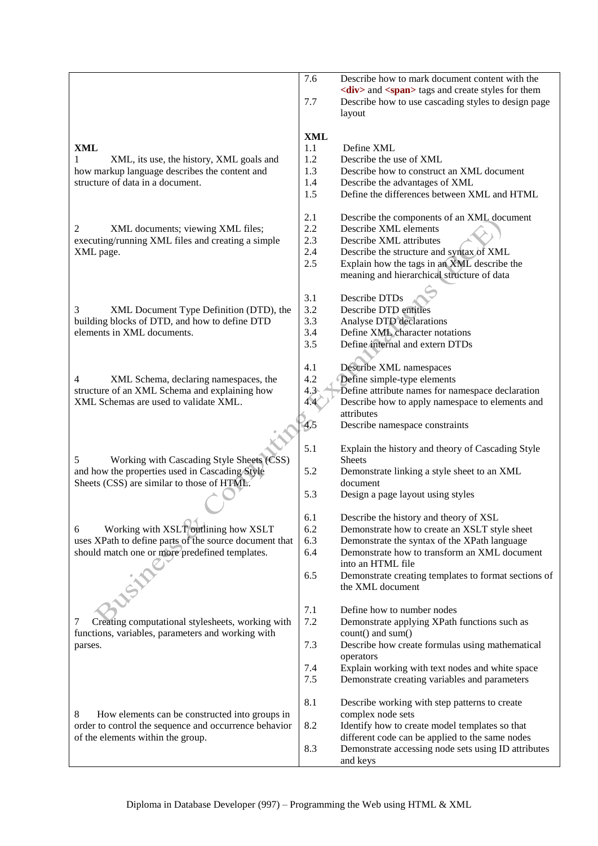|                                                                                            | 7.6           | Describe how to mark document content with the                     |
|--------------------------------------------------------------------------------------------|---------------|--------------------------------------------------------------------|
|                                                                                            |               | <div> and <span> tags and create styles for them</span></div>      |
|                                                                                            | 7.7           | Describe how to use cascading styles to design page                |
|                                                                                            |               | layout                                                             |
|                                                                                            | <b>XML</b>    |                                                                    |
| <b>XML</b>                                                                                 | 1.1           | Define XML                                                         |
| XML, its use, the history, XML goals and<br>1                                              | 1.2           | Describe the use of XML                                            |
| how markup language describes the content and                                              | 1.3           | Describe how to construct an XML document                          |
| structure of data in a document.                                                           | 1.4           | Describe the advantages of XML                                     |
|                                                                                            | 1.5           | Define the differences between XML and HTML                        |
|                                                                                            | 2.1           | Describe the components of an XML document                         |
| 2<br>XML documents; viewing XML files;                                                     | 2.2           | Describe XML elements                                              |
| executing/running XML files and creating a simple                                          | 2.3           | Describe XML attributes                                            |
| XML page.                                                                                  | 2.4           | Describe the structure and syntax of XML                           |
|                                                                                            | 2.5           | Explain how the tags in an XML describe the                        |
|                                                                                            |               | meaning and hierarchical structure of data                         |
|                                                                                            | 3.1           | Describe DTDs                                                      |
| 3<br>XML Document Type Definition (DTD), the                                               | 3.2           | Describe DTD entities                                              |
| building blocks of DTD, and how to define DTD                                              | 3.3           | Analyse DTD declarations                                           |
| elements in XML documents.                                                                 | 3.4           | Define XML character notations                                     |
|                                                                                            | 3.5           | Define internal and extern DTDs                                    |
|                                                                                            |               |                                                                    |
| 4                                                                                          | 4.1<br>4.2    | Describe XML namespaces<br>Define simple-type elements             |
| XML Schema, declaring namespaces, the<br>structure of an XML Schema and explaining how     | $4.3^{\circ}$ | Define attribute names for namespace declaration                   |
| XML Schemas are used to validate XML.                                                      | 4.4           | Describe how to apply namespace to elements and                    |
|                                                                                            |               | attributes                                                         |
|                                                                                            | 45            | Describe namespace constraints                                     |
|                                                                                            | 5.1           |                                                                    |
| Working with Cascading Style Sheets (CSS)<br>5                                             |               | Explain the history and theory of Cascading Style<br><b>Sheets</b> |
| and how the properties used in Cascading Style                                             | 5.2           | Demonstrate linking a style sheet to an XML                        |
| Sheets (CSS) are similar to those of HTML.                                                 |               | document                                                           |
|                                                                                            | 5.3           | Design a page layout using styles                                  |
|                                                                                            | 6.1           | Describe the history and theory of XSL                             |
| Working with XSLT outlining how XSLT<br>6                                                  | 6.2           | Demonstrate how to create an XSLT style sheet                      |
| uses XPath to define parts of the source document that                                     | 6.3           | Demonstrate the syntax of the XPath language                       |
| should match one or more predefined templates.                                             | 6.4           | Demonstrate how to transform an XML document                       |
|                                                                                            |               | into an HTML file                                                  |
|                                                                                            | 6.5           | Demonstrate creating templates to format sections of               |
| <b>INSIDE</b>                                                                              |               | the XML document                                                   |
|                                                                                            | 7.1           | Define how to number nodes                                         |
| 7<br>Creating computational stylesheets, working with                                      | 7.2           | Demonstrate applying XPath functions such as                       |
| functions, variables, parameters and working with                                          |               | $count()$ and $sum()$                                              |
| parses.                                                                                    | 7.3           | Describe how create formulas using mathematical                    |
|                                                                                            |               | operators                                                          |
|                                                                                            | 7.4           | Explain working with text nodes and white space                    |
|                                                                                            | 7.5           | Demonstrate creating variables and parameters                      |
|                                                                                            | 8.1           | Describe working with step patterns to create                      |
| 8<br>How elements can be constructed into groups in                                        |               | complex node sets                                                  |
| order to control the sequence and occurrence behavior<br>of the elements within the group. | 8.2           | Identify how to create model templates so that                     |
|                                                                                            |               | different code can be applied to the same nodes                    |
|                                                                                            | 8.3           | Demonstrate accessing node sets using ID attributes                |
|                                                                                            |               | and keys                                                           |